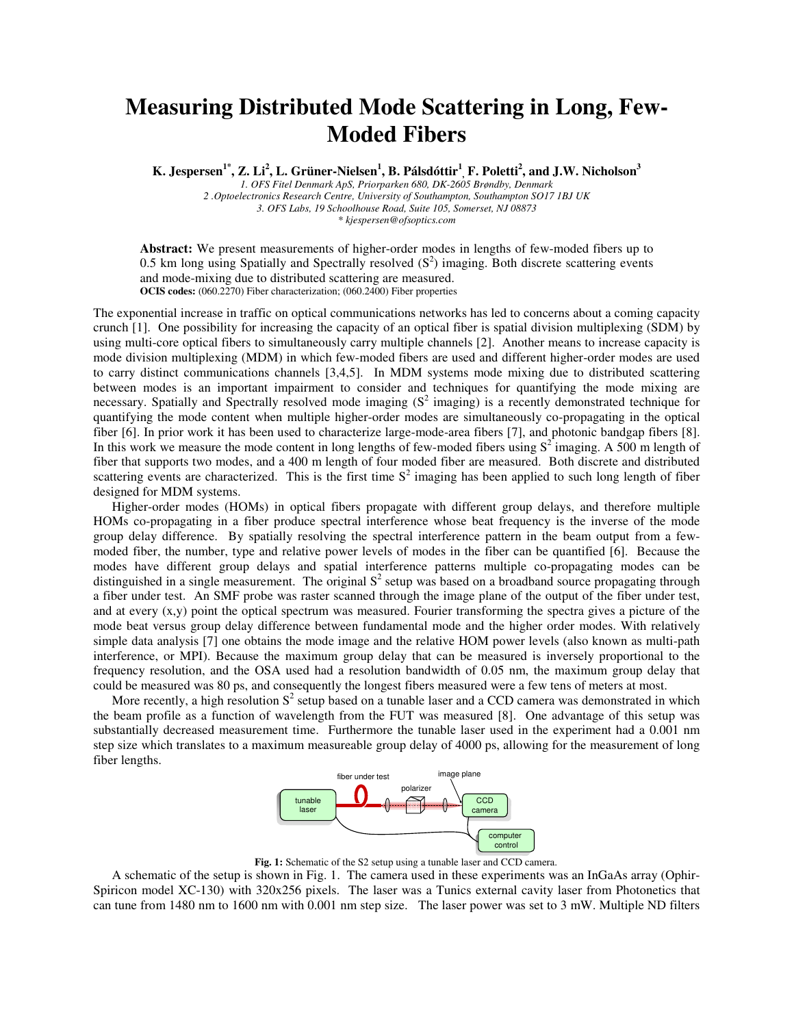## **Measuring Distributed Mode Scattering in Long, Few-Moded Fibers**

**K. Jespersen1\*, Z. Li<sup>2</sup> , L. Grüner-Nielsen<sup>1</sup> , B. Pálsdóttir<sup>1</sup> , F. Poletti<sup>2</sup> , and J.W. Nicholson<sup>3</sup>**

*1. OFS Fitel Denmark ApS, Priorparken 680, DK-2605 Brøndby, Denmark 2 .Optoelectronics Research Centre, University of Southampton, Southampton SO17 1BJ UK 3. OFS Labs, 19 Schoolhouse Road, Suite 105, Somerset, NJ 08873* 

*\* kjespersen@ofsoptics.com* 

**Abstract:** We present measurements of higher-order modes in lengths of few-moded fibers up to 0.5 km long using Spatially and Spectrally resolved  $(S^2)$  imaging. Both discrete scattering events and mode-mixing due to distributed scattering are measured. **OCIS codes:** (060.2270) Fiber characterization; (060.2400) Fiber properties

The exponential increase in traffic on optical communications networks has led to concerns about a coming capacity crunch [1]. One possibility for increasing the capacity of an optical fiber is spatial division multiplexing (SDM) by using multi-core optical fibers to simultaneously carry multiple channels [2]. Another means to increase capacity is mode division multiplexing (MDM) in which few-moded fibers are used and different higher-order modes are used to carry distinct communications channels [3,4,5]. In MDM systems mode mixing due to distributed scattering between modes is an important impairment to consider and techniques for quantifying the mode mixing are necessary. Spatially and Spectrally resolved mode imaging  $(S^2)$  imaging) is a recently demonstrated technique for quantifying the mode content when multiple higher-order modes are simultaneously co-propagating in the optical fiber [6]. In prior work it has been used to characterize large-mode-area fibers [7], and photonic bandgap fibers [8]. In this work we measure the mode content in long lengths of few-moded fibers using  $S^2$  imaging. A 500 m length of fiber that supports two modes, and a 400 m length of four moded fiber are measured. Both discrete and distributed scattering events are characterized. This is the first time  $S<sup>2</sup>$  imaging has been applied to such long length of fiber designed for MDM systems.

Higher-order modes (HOMs) in optical fibers propagate with different group delays, and therefore multiple HOMs co-propagating in a fiber produce spectral interference whose beat frequency is the inverse of the mode group delay difference. By spatially resolving the spectral interference pattern in the beam output from a fewmoded fiber, the number, type and relative power levels of modes in the fiber can be quantified [6]. Because the modes have different group delays and spatial interference patterns multiple co-propagating modes can be distinguished in a single measurement. The original  $S<sup>2</sup>$  setup was based on a broadband source propagating through a fiber under test. An SMF probe was raster scanned through the image plane of the output of the fiber under test, and at every  $(x,y)$  point the optical spectrum was measured. Fourier transforming the spectra gives a picture of the mode beat versus group delay difference between fundamental mode and the higher order modes. With relatively simple data analysis [7] one obtains the mode image and the relative HOM power levels (also known as multi-path interference, or MPI). Because the maximum group delay that can be measured is inversely proportional to the frequency resolution, and the OSA used had a resolution bandwidth of 0.05 nm, the maximum group delay that could be measured was 80 ps, and consequently the longest fibers measured were a few tens of meters at most.

More recently, a high resolution  $S^2$  setup based on a tunable laser and a CCD camera was demonstrated in which the beam profile as a function of wavelength from the FUT was measured [8]. One advantage of this setup was substantially decreased measurement time. Furthermore the tunable laser used in the experiment had a 0.001 nm step size which translates to a maximum measureable group delay of 4000 ps, allowing for the measurement of long fiber lengths.



**Fig. 1:** Schematic of the S2 setup using a tunable laser and CCD camera.

A schematic of the setup is shown in Fig. 1. The camera used in these experiments was an InGaAs array (Ophir-Spiricon model XC-130) with 320x256 pixels. The laser was a Tunics external cavity laser from Photonetics that can tune from 1480 nm to 1600 nm with 0.001 nm step size. The laser power was set to 3 mW. Multiple ND filters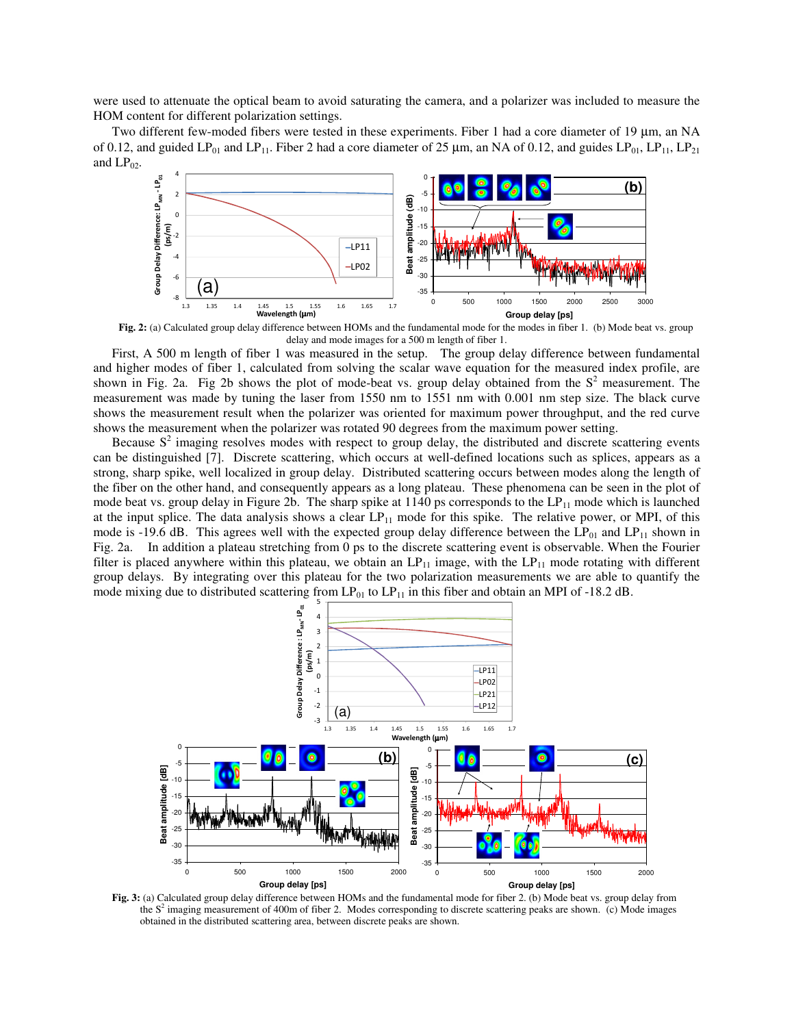were used to attenuate the optical beam to avoid saturating the camera, and a polarizer was included to measure the HOM content for different polarization settings.

Two different few-moded fibers were tested in these experiments. Fiber 1 had a core diameter of 19 µm, an NA of 0.12, and guided LP<sub>01</sub> and LP<sub>11</sub>. Fiber 2 had a core diameter of 25 µm, an NA of 0.12, and guides LP<sub>01</sub>, LP<sub>11</sub>, LP<sub>21</sub> and  $LP_{02}$ .



**Fig. 2:** (a) Calculated group delay difference between HOMs and the fundamental mode for the modes in fiber 1. (b) Mode beat vs. group delay and mode images for a 500 m length of fiber 1.

First, A 500 m length of fiber 1 was measured in the setup. The group delay difference between fundamental and higher modes of fiber 1, calculated from solving the scalar wave equation for the measured index profile, are shown in Fig. 2a. Fig 2b shows the plot of mode-beat vs. group delay obtained from the  $S<sup>2</sup>$  measurement. The measurement was made by tuning the laser from 1550 nm to 1551 nm with 0.001 nm step size. The black curve shows the measurement result when the polarizer was oriented for maximum power throughput, and the red curve shows the measurement when the polarizer was rotated 90 degrees from the maximum power setting.

Because  $S<sup>2</sup>$  imaging resolves modes with respect to group delay, the distributed and discrete scattering events can be distinguished [7]. Discrete scattering, which occurs at well-defined locations such as splices, appears as a strong, sharp spike, well localized in group delay. Distributed scattering occurs between modes along the length of the fiber on the other hand, and consequently appears as a long plateau. These phenomena can be seen in the plot of mode beat vs. group delay in Figure 2b. The sharp spike at 1140 ps corresponds to the  $LP_{11}$  mode which is launched at the input splice. The data analysis shows a clear  $LP_{11}$  mode for this spike. The relative power, or MPI, of this mode is -19.6 dB. This agrees well with the expected group delay difference between the  $LP_{01}$  and  $LP_{11}$  shown in Fig. 2a. In addition a plateau stretching from 0 ps to the discrete scattering event is observable. When the Fourier filter is placed anywhere within this plateau, we obtain an  $LP_{11}$  image, with the  $LP_{11}$  mode rotating with different group delays. By integrating over this plateau for the two polarization measurements we are able to quantify the mode mixing due to distributed scattering from  $LP_{01}$  to  $LP_{11}$  in this fiber and obtain an MPI of -18.2 dB.



**Fig. 3:** (a) Calculated group delay difference between HOMs and the fundamental mode for fiber 2. (b) Mode beat vs. group delay from the  $S<sup>2</sup>$  imaging measurement of 400m of fiber 2. Modes corresponding to discrete scattering peaks are shown. (c) Mode images obtained in the distributed scattering area, between discrete peaks are shown.